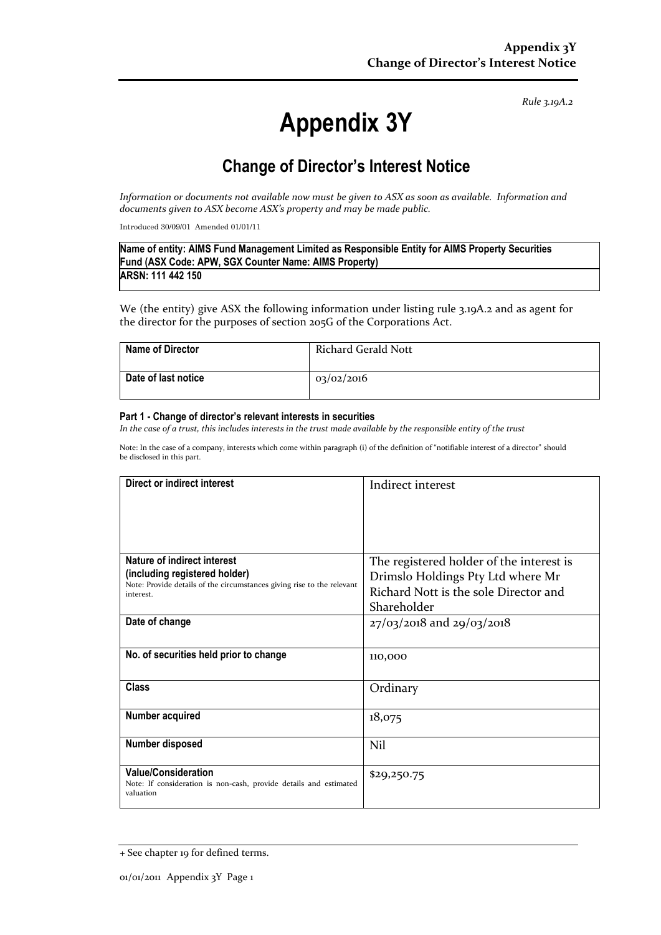*Rule 3.19A.2*

# **Appendix 3Y**

# **Change of Director's Interest Notice**

*Information or documents not available now must be given to ASX as soon as available. Information and documents given to ASX become ASX's property and may be made public.*

Introduced 30/09/01 Amended 01/01/11

| Name of entity: AIMS Fund Management Limited as Responsible Entity for AIMS Property Securities |  |
|-------------------------------------------------------------------------------------------------|--|
| Fund (ASX Code: APW, SGX Counter Name: AIMS Property)                                           |  |
| ARSN: 111 442 150                                                                               |  |

We (the entity) give ASX the following information under listing rule 3.19A.2 and as agent for the director for the purposes of section 205G of the Corporations Act.

| <b>Name of Director</b> | Richard Gerald Nott |
|-------------------------|---------------------|
| Date of last notice     | 03/02/2016          |

#### **Part 1 - Change of director's relevant interests in securities**

*In the case of a trust, this includes interests in the trust made available by the responsible entity of the trust*

Note: In the case of a company, interests which come within paragraph (i) of the definition of "notifiable interest of a director" should be disclosed in this part.

| Direct or indirect interest                                                                                  | Indirect interest                        |
|--------------------------------------------------------------------------------------------------------------|------------------------------------------|
| Nature of indirect interest                                                                                  | The registered holder of the interest is |
| (including registered holder)<br>Note: Provide details of the circumstances giving rise to the relevant      | Drimslo Holdings Pty Ltd where Mr        |
| interest.                                                                                                    | Richard Nott is the sole Director and    |
|                                                                                                              | Shareholder                              |
| Date of change                                                                                               | $27/03/2018$ and $29/03/2018$            |
| No. of securities held prior to change                                                                       | 110,000                                  |
| <b>Class</b>                                                                                                 | Ordinary                                 |
| Number acquired                                                                                              | 18,075                                   |
| <b>Number disposed</b>                                                                                       | Nil                                      |
| <b>Value/Consideration</b><br>Note: If consideration is non-cash, provide details and estimated<br>valuation | \$29,250.75                              |

<sup>+</sup> See chapter 19 for defined terms.